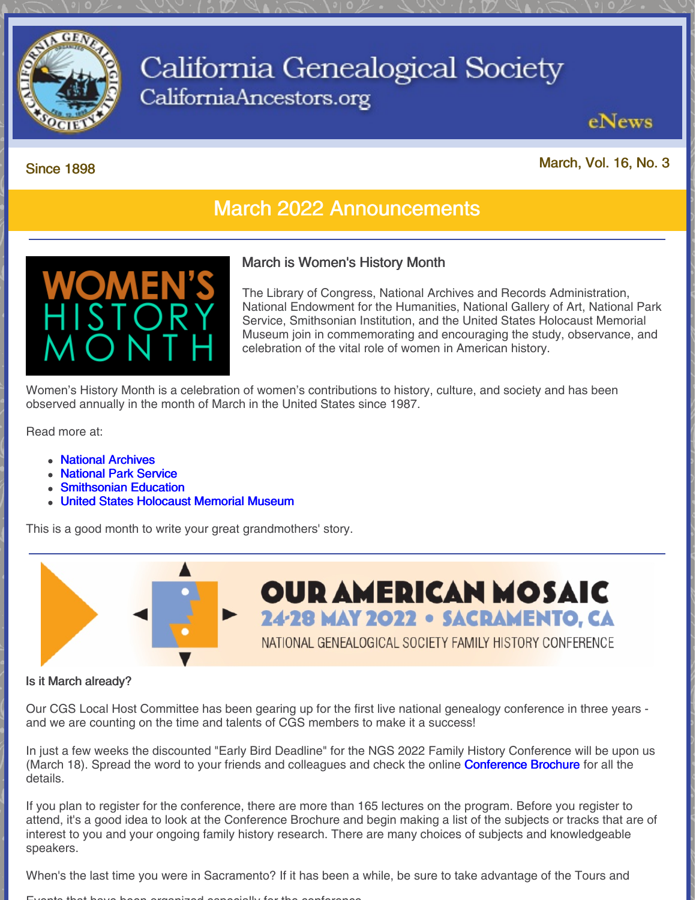

## California Genealogical Society CaliforniaAncestors.org

## Since <sup>1898</sup> March, Vol. 16, No. <sup>3</sup>

eNews

## March 2022 Announcements



#### March is Women's History Month

The Library of Congress, National Archives and Records Administration, National Endowment for the Humanities, National Gallery of Art, National Park Service, Smithsonian Institution, and the United States Holocaust Memorial Museum join in commemorating and encouraging the study, observance, and celebration of the vital role of women in American history.

Women's History Month is a celebration of women's contributions to history, culture, and society and has been observed annually in the month of March in the United States since 1987.

Read more at:

- National [Archives](https://www.archives.gov/news/topics/womens-history)
- [National](https://www.nps.gov/subjects/womenshistory/index.htm) Park Service
- [Smithsonian](https://womenshistory.si.edu/) Education
- United States [Holocaust](https://www.ushmm.org/information/exhibitions/online-exhibitions/special-focus/womens-history-month) Memorial Museum

This is a good month to write your great grandmothers' story.



#### Is it March already?

Our CGS Local Host Committee has been gearing up for the first live national genealogy conference in three years and we are counting on the time and talents of CGS members to make it a success!

In just a few weeks the discounted "Early Bird Deadline" for the NGS 2022 Family History Conference will be upon us (March 18). Spread the word to your friends and colleagues and check the online **[Conference](https://conference.ngsgenealogy.org/wp-content/uploads/pdf/NGS-2022-ConfRegBroch-01102022-Final.pdf) Brochure** for all the details.

If you plan to register for the conference, there are more than 165 lectures on the program. Before you register to attend, it's a good idea to look at the Conference Brochure and begin making a list of the subjects or tracks that are of interest to you and your ongoing family history research. There are many choices of subjects and knowledgeable speakers.

When's the last time you were in Sacramento? If it has been a while, be sure to take advantage of the Tours and

#### Events that have been organized especially for the conference.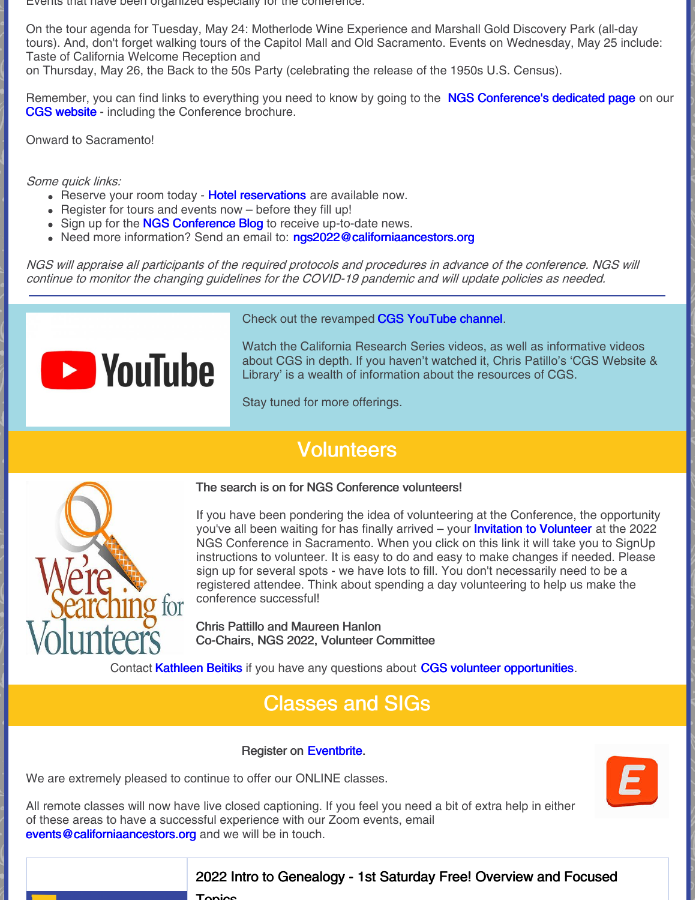Events that have been organized especially for the conference.

On the tour agenda for Tuesday, May 24: Motherlode Wine Experience and Marshall Gold Discovery Park (all-day tours). And, don't forget walking tours of the Capitol Mall and Old Sacramento. Events on Wednesday, May 25 include: Taste of California Welcome Reception and

on Thursday, May 26, the Back to the 50s Party (celebrating the release of the 1950s U.S. Census).

Remember, you can find links to everything you need to know by going to the NGS [Conference's](https://www.californiaancestors.org/ngs-2022-family-history-conference/) dedicated page on our CGS [website](https://www.californiaancestors.org/) - including the Conference brochure.

Onward to Sacramento!

Some quick links:

- Reserve your room today Hotel [reservations](https://conference.ngsgenealogy.org/accommodations/?utm_source=NGS+Monthly&utm_campaign=36bb7b4a96-EMAIL_CAMPAIGN_2021_08_12_01_53_COPY_01&utm_medium=email&utm_term=0_1ff12e731d-36bb7b4a96-299751721) are available now.
- $\bullet$  Register for tours and events now before they fill up!
- Sign up for the **NGS [Conference](https://conference.ngsgenealogy.org/blog/?utm_source=NGS+Monthly&utm_campaign=36bb7b4a96-EMAIL_CAMPAIGN_2021_08_12_01_53_COPY_01&utm_medium=email&utm_term=0_1ff12e731d-36bb7b4a96-299751721) Blog** to receive up-to-date news.
- Need more information? Send an email to: [ngs2022@californiaancestors.org](mailto:ngs2022@californiaancestors.org)

NGS will appraise all participants of the required protocols and procedures in advance of the conference. NGS will continue to monitor the changing guidelines for the COVID-19 pandemic and will update policies as needed.



Check out the revamped CGS [YouTube](https://www.youtube.com/user/CAancestors) channel.

Watch the California Research Series videos, as well as informative videos about CGS in depth. If you haven't watched it, Chris Patillo's 'CGS Website & Library' is a wealth of information about the resources of CGS.

Stay tuned for more offerings.

## **Volunteers**



The search is on for NGS Conference volunteers!

If you have been pondering the idea of volunteering at the Conference, the opportunity you've all been waiting for has finally arrived – your **Invitation to [Volunteer](https://signup.com/client/invitation2/secure/108189918046/false#/invitation)** at the 2022 NGS Conference in Sacramento. When you click on this link it will take you to SignUp instructions to volunteer. It is easy to do and easy to make changes if needed. Please sign up for several spots - we have lots to fill. You don't necessarily need to be a registered attendee. Think about spending a day volunteering to help us make the conference successful!

Chris Pattillo and Maureen Hanlon Co-Chairs, NGS 2022, Volunteer Committee

Contact [Kathleen](mailto:kbeitiks@californiaancestors.org) Beitiks if you have any questions about CGS volunteer [opportunities](https://www.californiaancestors.org/volunteer-opportunities/).

## Classes and SIGs

#### Register on [Eventbrite](https://www.eventbrite.com/o/california-genealogical-society-amp-library-5537240243).

We are extremely pleased to continue to offer our ONLINE classes.

All remote classes will now have live closed captioning. If you feel you need a bit of extra help in either of these areas to have a successful experience with our Zoom events, email [events@californiaancestors.org](mailto:events@californiaancestors.org) and we will be in touch.

### 2022 Intro to Genealogy - 1st Saturday Free! Overview and Focused

**Topics**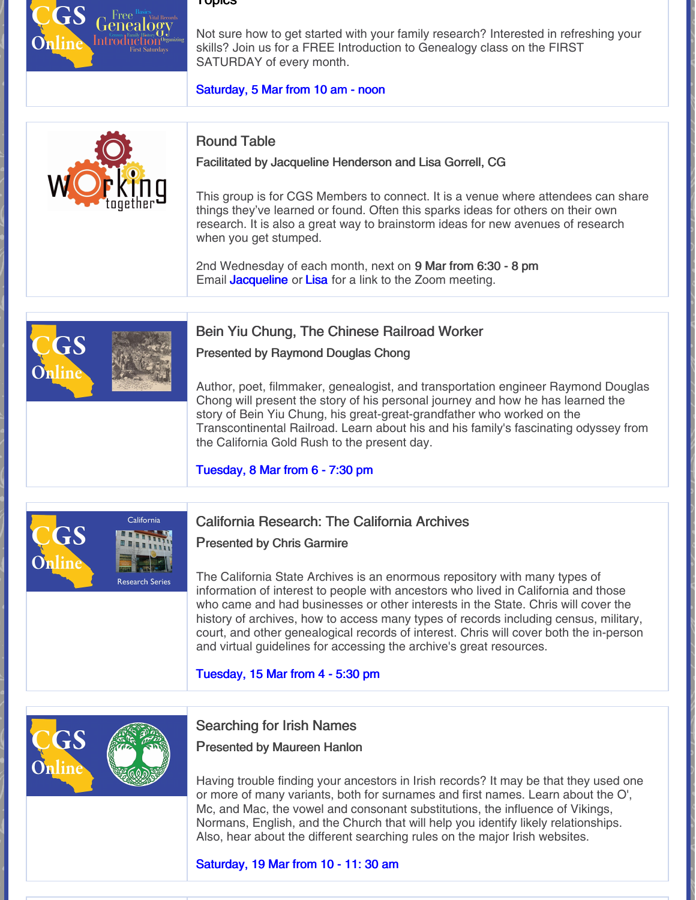#### Topics

Free<sup>B</sup> renealogy **Introduction** 

Not sure how to get started with your family research? Interested in refreshing your skills? Join us for a FREE Introduction to Genealogy class on the FIRST SATURDAY of every month.

#### [Saturday,](https://www.eventbrite.com/e/2022-intro-to-genealogy-1st-saturday-free-overview-and-focused-topics-registration-212156083557?aff=ebdsoporgprofile) 5 Mar from 10 am - noon



#### Round Table

Facilitated by Jacqueline Henderson and Lisa Gorrell, CG

This group is for CGS Members to connect. It is a venue where attendees can share things they've learned or found. Often this sparks ideas for others on their own research. It is also a great way to brainstorm ideas for new avenues of research when you get stumped.

2nd Wednesday of each month, next on 9 Mar from 6:30 - 8 pm Email **[Jacqueline](mailto:jhenderson@californiaancestors.org)** or [Lisa](mailto:lgorrell@californiaancestors.org) for a link to the Zoom meeting.

#### Bein Yiu Chung, The Chinese Railroad Worker

Presented by Raymond Douglas Chong

Author, poet, filmmaker, genealogist, and transportation engineer Raymond Douglas Chong will present the story of his personal journey and how he has learned the story of Bein Yiu Chung, his great-great-grandfather who worked on the Transcontinental Railroad. Learn about his and his family's fascinating odyssey from the California Gold Rush to the present day.

#### [Tuesday,](https://www.eventbrite.com/e/bein-yiu-chung-the-chinese-railroad-worker-registration-251547785197) 8 Mar from 6 - 7:30 pm



#### California Research: The California Archives

Presented by Chris Garmire

The California State Archives is an enormous repository with many types of information of interest to people with ancestors who lived in California and those who came and had businesses or other interests in the State. Chris will cover the history of archives, how to access many types of records including census, military, court, and other genealogical records of interest. Chris will cover both the in-person and virtual guidelines for accessing the archive's great resources.

#### [Tuesday,](https://www.eventbrite.com/e/california-research-the-california-archives-registration-211483491817?aff=ebdsoporgprofile) 15 Mar from 4 - 5:30 pm



#### Searching for Irish Names

Presented by Maureen Hanlon

Having trouble finding your ancestors in Irish records? It may be that they used one or more of many variants, both for surnames and first names. Learn about the O', Mc, and Mac, the vowel and consonant substitutions, the influence of Vikings, Normans, English, and the Church that will help you identify likely relationships. Also, hear about the different searching rules on the major Irish websites.

#### [Saturday,](https://www.eventbrite.com/e/searching-for-irish-names-registration-229655213927?aff=ebdsoporgprofile) 19 Mar from 10 - 11: 30 am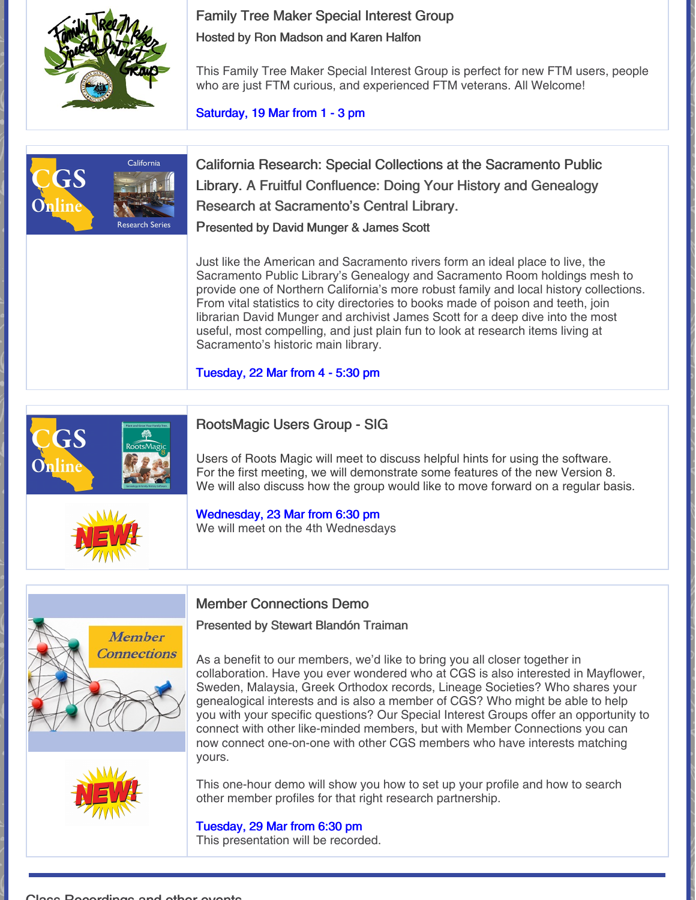#### Family Tree Maker Special Interest Group

Hosted by Ron Madson and Karen Halfon



This Family Tree Maker Special Interest Group is perfect for new FTM users, people who are just FTM curious, and experienced FTM veterans. All Welcome!

[Saturday,](https://www.eventbrite.com/e/family-tree-maker-sig-meeting-ftm-and-citations-ftm-and-the-1950-census-tickets-273702801447?aff=ebdsoporgprofile) 19 Mar from 1 - 3 pm



California Research: Special Collections at the Sacramento Public Library. A Fruitful Confluence: Doing Your History and Genealogy Research at Sacramento's Central Library. Presented by David Munger & James Scott

Just like the American and Sacramento rivers form an ideal place to live, the Sacramento Public Library's Genealogy and Sacramento Room holdings mesh to provide one of Northern California's more robust family and local history collections. From vital statistics to city directories to books made of poison and teeth, join librarian David Munger and archivist James Scott for a deep dive into the most useful, most compelling, and just plain fun to look at research items living at Sacramento's historic main library.

[Tuesday,](https://www.eventbrite.com/e/california-research-special-collections-at-the-sacramento-public-library-registration-211483953197?aff=ebdsoporgprofile) 22 Mar from 4 - 5:30 pm



### RootsMagic Users Group - SIG

Users of Roots Magic will meet to discuss helpful hints for using the software. For the first meeting, we will demonstrate some features of the new Version 8. We will also discuss how the group would like to move forward on a regular basis.



#### [Wednesday,](https://www.eventbrite.com/e/roots-magic-users-group-sig-march-meeting-registration-274245073397?aff=ebdsoporgprofile) 23 Mar from 6:30 pm We will meet on the 4th Wednesdays





#### Member Connections Demo

#### Presented by Stewart Blandón Traiman

As a benefit to our members, we'd like to bring you all closer together in collaboration. Have you ever wondered who at CGS is also interested in Mayflower, Sweden, Malaysia, Greek Orthodox records, Lineage Societies? Who shares your genealogical interests and is also a member of CGS? Who might be able to help you with your specific questions? Our Special Interest Groups offer an opportunity to connect with other like-minded members, but with Member Connections you can now connect one-on-one with other CGS members who have interests matching yours.

This one-hour demo will show you how to set up your profile and how to search other member profiles for that right research partnership.

## [Tuesday,](https://www.eventbrite.com/e/member-connections-a-new-tool-from-cgs-registration-273581187697?aff=ebdsoporgprofile) 29 Mar from 6:30 pm

This presentation will be recorded.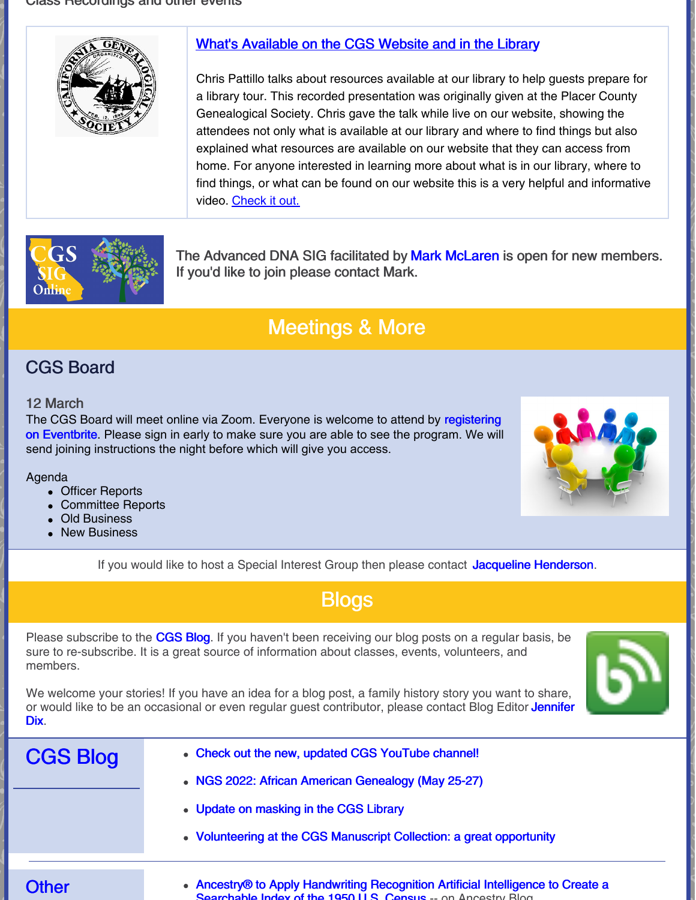

#### What's [Available](https://vimeo.com/647623703) on the CGS Website and in the Library

Chris Pattillo talks about resources available at our library to help guests prepare for a library tour. This recorded presentation was originally given at the Placer County Genealogical Society. Chris gave the talk while live on our website, showing the attendees not only what is available at our library and where to find things but also explained what resources are available on our website that they can access from home. For anyone interested in learning more about what is in our library, where to find things, or what can be found on our website this is a very helpful and informative video. [Check](https://vimeo.com/647623703) it out.



The Advanced DNA SIG facilitated by Mark [McLaren](mailto:greatscot@earthlink.net) is open for new members. If you'd like to join please contact Mark.

## Meetings & More

### CGS Board

#### 12 March

The CGS Board will meet online via Zoom. Everyone is welcome to attend by [registering](https://tinyurl.com/48ysezf6) on Eventbrite. Please sign in early to make sure you are able to see the program. We will send joining instructions the night before which will give you access.

#### Agenda

- Officer Reports
- Committee Reports
- Old Business
- New Business



If you would like to host a Special Interest Group then please contact Jacqueline [Henderson](mailto:jhenderson@californiaancestors.org).

| --            |   |   |
|---------------|---|---|
|               |   |   |
| ___<br>$\sim$ | _ | _ |

Please subscribe to the [CGS](http://blog.californiaancestors.org/) Blog. If you haven't been receiving our blog posts on a regular basis, be sure to re-subscribe. It is a great source of information about classes, events, volunteers, and members.

We welcome your stories! If you have an idea for a blog post, a family history story you want to share, or would like to be an occasional or even regular guest [contributor,](mailto:jdix@californiaancestors.org) please contact Blog Editor Jennifer Dix.

| <b>CGS Blog</b> | • Check out the new, updated CGS YouTube channel!                                                                                               |
|-----------------|-------------------------------------------------------------------------------------------------------------------------------------------------|
|                 | • NGS 2022: African American Genealogy (May 25-27)                                                                                              |
|                 | • Update on masking in the CGS Library                                                                                                          |
|                 | • Volunteering at the CGS Manuscript Collection: a great opportunity                                                                            |
|                 |                                                                                                                                                 |
| <b>Other</b>    | • Ancestry® to Apply Handwriting Recognition Artificial Intelligence to Create a<br>Soprabable Index of the 1950 LLS Consus - on Appearing Blog |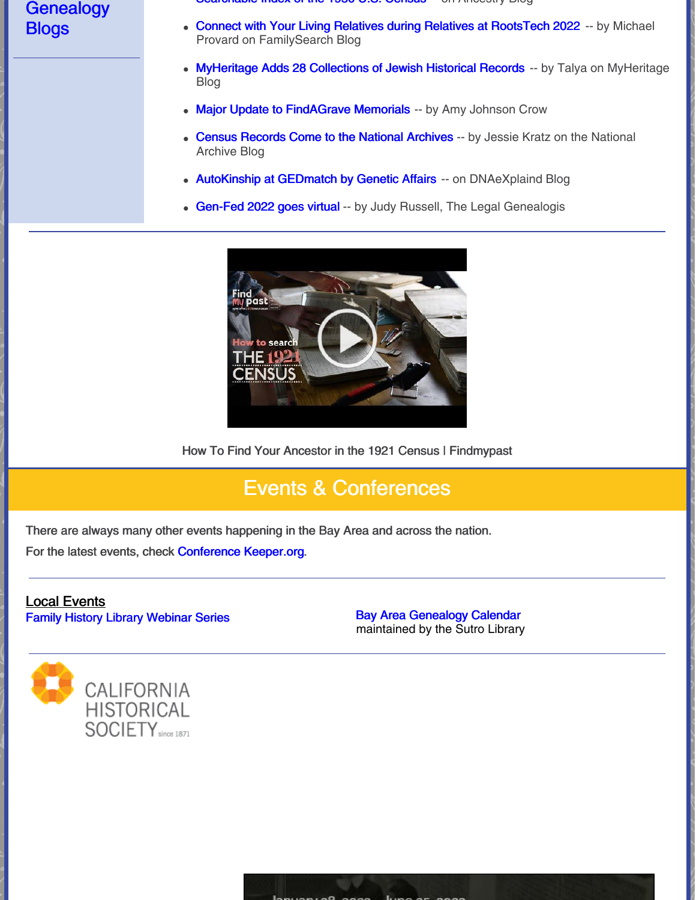### **Genealogy Blogs**

- able index of the 1950 U.S. Uchsus -- On Ancestry Blog
- Connect with Your Living Relatives during Relatives at [RootsTech](https://www.familysearch.org/en/blog/relatives-at-rootstech-2022) 2022 -- by Michael Provard on FamilySearch Blog
- [MyHeritage](https://blog.myheritage.com/2022/02/myheritage-adds-28-collections-of-jewish-historical-records/) Adds 28 Collections of Jewish Historical Records -- by Talya on MyHeritage Blog
- Major Update to [FindAGrave](https://www.amyjohnsoncrow.com/major-update-to-findagrave-memorials/) Memorials -- by Amy Johnson Crow
- Census [Records](https://prologue.blogs.archives.gov/2022/02/17/census-records-come-to-the-national-archives/) Come to the National Archives -- by Jessie Kratz on the National Archive Blog
- [AutoKinship](https://dna-explained.com/2022/02/21/autokinship-at-gedmatch-by-genetic-affairs/) at GEDmatch by Genetic Affairs -- on DNAeXplaind Blog
- [Gen-Fed](https://www.legalgenealogist.com/2022/02/23/gen-fed-2022-goes-virtual/) 2022 goes virtual -- by Judy Russell, The Legal Genealogis



How To Find Your Ancestor in the 1921 Census | Findmypast

## Events & Conferences

There are always many other events happening in the Bay Area and across the nation. For the latest events, check [Conference](https://conferencekeeper.org/) Keeper.org.

## Local Events

Family History Library [Webinar](https://www.familysearch.org/wiki/en/Family_History_Library_Classes_and_Webinars) Series **Bay Area [Genealogy](https://www.library.ca.gov/sutro/genealogy/calendar/) Calendar** 

maintained by the Sutro Library

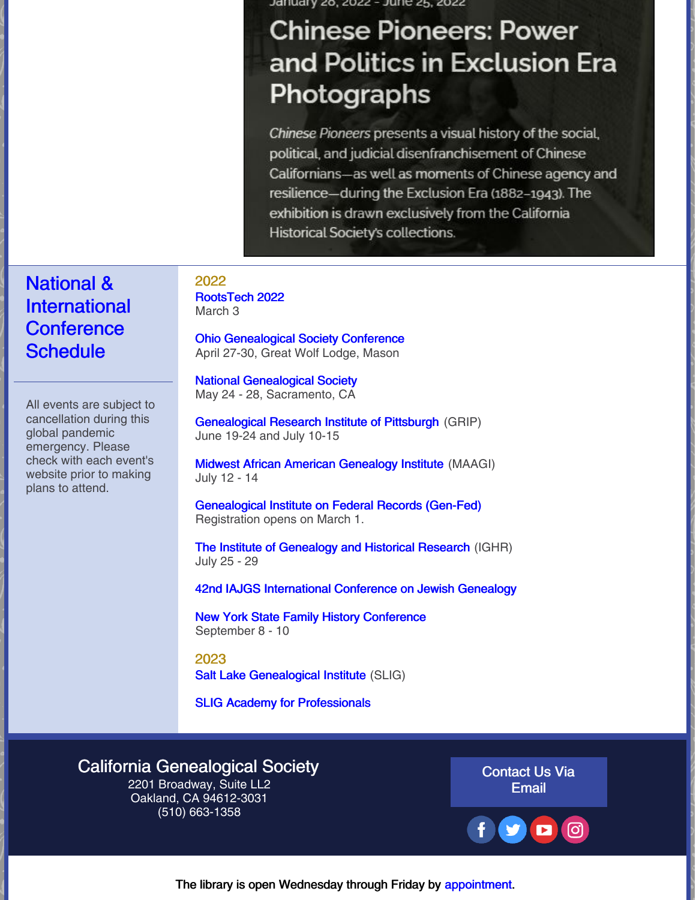January 26, 2022 - June 25, 2022

# **Chinese Pioneers: Power** and Politics in Exclusion Era Photographs

Chinese Pioneers presents a visual history of the social, political, and judicial disenfranchisement of Chinese Californians-as well as moments of Chinese agency and resilience—during the Exclusion Era (1882–1943). The exhibition is drawn exclusively from the California Historical Society's collections.

### National & International **Conference Schedule**

All events are subject to cancellation during this global pandemic emergency. Please check with each event's website prior to making plans to attend.

2022 [RootsTech](https://www.familysearch.org/rootstech/) 2022 March 3

Ohio [Genealogical](https://www.ogsconference.org/) Society Conference April 27-30, Great Wolf Lodge, Mason

National [Genealogical](https://conference.ngsgenealogy.org/ngs-2022-live/) Society May 24 - 28, Sacramento, CA

[Genealogical](https://www.gripitt.org/courses/) Research Institute of Pittsburgh (GRIP) June 19-24 and July 10-15

Midwest African American [Genealogy](https://maagi.regfox.com/2022-maagi) Institute (MAAGI) July 12 - 14

[Genealogical](https://www.gen-fed.org/gen-fed-2022-registration/) Institute on Federal Records (Gen-Fed) Registration opens on March 1.

The Institute of [Genealogy](https://ighr.gagensociety.org/ighr-2022/) and Historical Research (IGHR) July 25 - 29

42nd IAJGS [International](https://s4.goeshow.com/iajgs/annual/2022/) Conference on Jewish Genealogy

New York State Family History [Conference](https://www.newyorkfamilyhistory.org/nysfhc/2022) September 8 - 10

2023 Salt Lake [Genealogical](https://slig.ugagenealogy.org/cpage.php?pt=524) Institute (SLIG)

SLIG Academy for [Professionals](https://slig.ugagenealogy.org/cpage.php?pt=630)

#### California [Genealogical](https://www.californiaancestors.org/) Society

2201 Broadway, Suite LL2 Oakland, CA 94612-3031 (510) 663-1358

[Contact](mailto:sblandon@californiaancestors.org) Us Via Email



The library is open Wednesday through Friday by [appointment](https://www.eventbrite.com/e/cgs-library-visit-registration-2022-registration-230442448567?aff=ebdsoporgprofile).